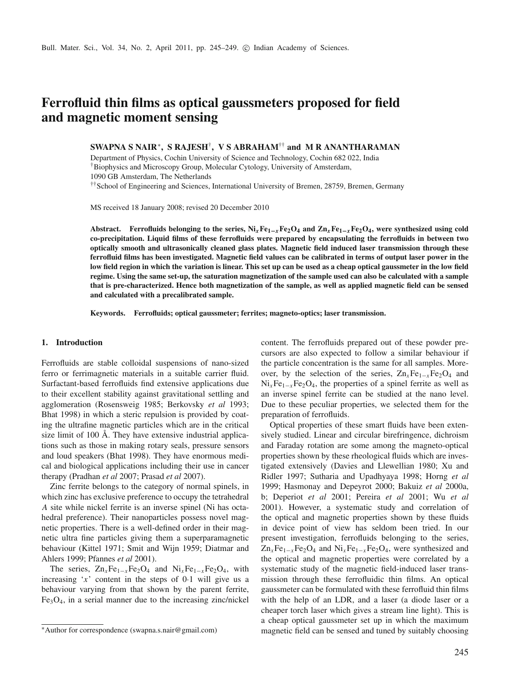# **Ferrofluid thin films as optical gaussmeters proposed for field and magnetic moment sensing**

**SWAPNA S NAIR**<sup>∗</sup>**, S RAJESH**†**, V S ABRAHAM**†† **and M R ANANTHARAMAN**

Department of Physics, Cochin University of Science and Technology, Cochin 682 022, India †Biophysics and Microscopy Group, Molecular Cytology, University of Amsterdam,

1090 GB Amsterdam, The Netherlands

<sup>††</sup>School of Engineering and Sciences, International University of Bremen, 28759, Bremen, Germany

MS received 18 January 2008; revised 20 December 2010

**Abstract. Ferrofluids belonging to the series, Ni***x***Fe1<sup>−</sup>***x***Fe2O4 and Zn***x***Fe1<sup>−</sup>***x***Fe2O4, were synthesized using cold co-precipitation. Liquid films of these ferrofluids were prepared by encapsulating the ferrofluids in between two optically smooth and ultrasonically cleaned glass plates. Magnetic field induced laser transmission through these ferrofluid films has been investigated. Magnetic field values can be calibrated in terms of output laser power in the low field region in which the variation is linear. This set up can be used as a cheap optical gaussmeter in the low field regime. Using the same set-up, the saturation magnetization of the sample used can also be calculated with a sample that is pre-characterized. Hence both magnetization of the sample, as well as applied magnetic field can be sensed and calculated with a precalibrated sample.**

**Keywords. Ferrofluids; optical gaussmeter; ferrites; magneto-optics; laser transmission.**

### **1. Introduction**

Ferrofluids are stable colloidal suspensions of nano-sized ferro or ferrimagnetic materials in a suitable carrier fluid. Surfactant-based ferrofluids find extensive applications due to their excellent stability against gravitational settling and agglomeration (Rosensweig 1985; Berkovsky *et al* 1993; Bhat 1998) in which a steric repulsion is provided by coating the ultrafine magnetic particles which are in the critical size limit of 100 Å. They have extensive industrial applications such as those in making rotary seals, pressure sensors and loud speakers (Bhat 1998). They have enormous medical and biological applications including their use in cancer therapy (Pradhan *et al* 2007; Prasad *et al* 2007).

Zinc ferrite belongs to the category of normal spinels, in which zinc has exclusive preference to occupy the tetrahedral *A* site while nickel ferrite is an inverse spinel (Ni has octahedral preference). Their nanoparticles possess novel magnetic properties. There is a well-defined order in their magnetic ultra fine particles giving them a superparamagnetic behaviour (Kittel 1971; Smit and Wijn 1959; Diatmar and Ahlers 1999; Pfannes *et al* 2001).

The series,  $Zn_xFe_{1-x}Fe_2O_4$  and  $Ni_xFe_{1-x}Fe_2O_4$ , with increasing  $x'$  content in the steps of 0.1 will give us a behaviour varying from that shown by the parent ferrite, Fe3O4, in a serial manner due to the increasing zinc/nickel content. The ferrofluids prepared out of these powder precursors are also expected to follow a similar behaviour if the particle concentration is the same for all samples. Moreover, by the selection of the series,  $\text{Zn}_x\text{Fe}_{1-x}\text{Fe}_2\text{O}_4$  and Ni<sub>x</sub>Fe<sub>1−*x*</sub>Fe<sub>2</sub>O<sub>4</sub>, the properties of a spinel ferrite as well as an inverse spinel ferrite can be studied at the nano level. Due to these peculiar properties, we selected them for the preparation of ferrofluids.

Optical properties of these smart fluids have been extensively studied. Linear and circular birefringence, dichroism and Faraday rotation are some among the magneto-optical properties shown by these rheological fluids which are investigated extensively (Davies and Llewellian 1980; Xu and Ridler 1997; Sutharia and Upadhyaya 1998; Horng *et al* 1999; Hasmonay and Depeyrot 2000; Bakuiz *et al* 2000a, b; Deperiot *et al* 2001; Pereira *et al* 2001; Wu *et al* 2001). However, a systematic study and correlation of the optical and magnetic properties shown by these fluids in device point of view has seldom been tried. In our present investigation, ferrofluids belonging to the series,  $Zn_xFe_{1-x}Fe_2O_4$  and  $Ni_xFe_{1-x}Fe_2O_4$ , were synthesized and the optical and magnetic properties were correlated by a systematic study of the magnetic field-induced laser transmission through these ferrofluidic thin films. An optical gaussmeter can be formulated with these ferrofluid thin films with the help of an LDR, and a laser (a diode laser or a cheaper torch laser which gives a stream line light). This is a cheap optical gaussmeter set up in which the maximum magnetic field can be sensed and tuned by suitably choosing

<sup>∗</sup>Author for correspondence (swapna.s.nair@gmail.com)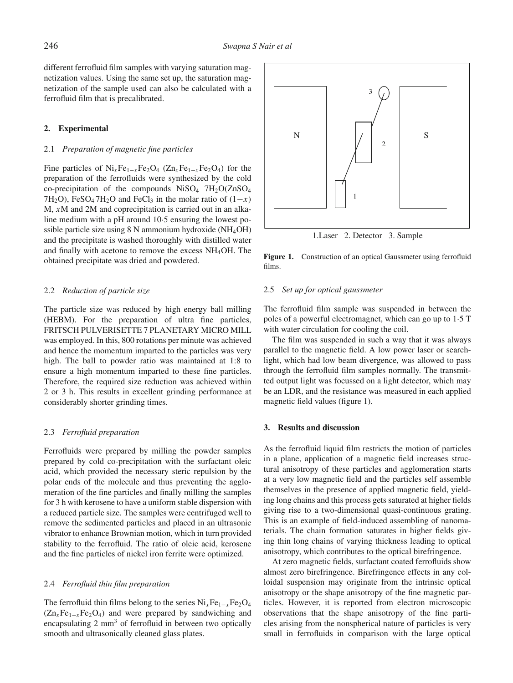different ferrofluid film samples with varying saturation magnetization values. Using the same set up, the saturation magnetization of the sample used can also be calculated with a ferrofluid film that is precalibrated.

#### **2. Experimental**

### 2.1 *Preparation of magnetic fine particles*

Fine particles of  $\text{Ni}_x\text{Fe}_{1-x}\text{Fe}_2\text{O}_4$  (Zn<sub>*x*</sub>Fe<sub>1−*x*</sub>Fe<sub>2</sub>O<sub>4</sub>) for the preparation of the ferrofluids were synthesized by the cold co-precipitation of the compounds  $Niso_4$  7H<sub>2</sub>O(ZnSO<sub>4</sub> 7H<sub>2</sub>O), FeSO<sub>4</sub> 7H<sub>2</sub>O and FeCl<sub>3</sub> in the molar ratio of  $(1-x)$ M, *x*M and 2M and coprecipitation is carried out in an alkaline medium with a pH around 10·5 ensuring the lowest possible particle size using  $8$  N ammonium hydroxide (NH<sub>4</sub>OH) and the precipitate is washed thoroughly with distilled water and finally with acetone to remove the excess NH4OH. The obtained precipitate was dried and powdered.

# 2.2 *Reduction of particle size*

The particle size was reduced by high energy ball milling (HEBM). For the preparation of ultra fine particles, FRITSCH PULVERISETTE 7 PLANETARY MICRO MILL was employed. In this, 800 rotations per minute was achieved and hence the momentum imparted to the particles was very high. The ball to powder ratio was maintained at 1:8 to ensure a high momentum imparted to these fine particles. Therefore, the required size reduction was achieved within 2 or 3 h. This results in excellent grinding performance at considerably shorter grinding times.

#### 2.3 *Ferrofluid preparation*

Ferrofluids were prepared by milling the powder samples prepared by cold co-precipitation with the surfactant oleic acid, which provided the necessary steric repulsion by the polar ends of the molecule and thus preventing the agglomeration of the fine particles and finally milling the samples for 3 h with kerosene to have a uniform stable dispersion with a reduced particle size. The samples were centrifuged well to remove the sedimented particles and placed in an ultrasonic vibrator to enhance Brownian motion, which in turn provided stability to the ferrofluid. The ratio of oleic acid, kerosene and the fine particles of nickel iron ferrite were optimized.

#### 2.4 *Ferrofluid thin film preparation*

The ferrofluid thin films belong to the series Ni<sub>x</sub>Fe<sub>1−*x*</sub>Fe<sub>2</sub>O<sub>4</sub>  $(Zn_xFe_{1-x}Fe_2O_4)$  and were prepared by sandwiching and encapsulating  $2 \text{ mm}^3$  of ferrofluid in between two optically smooth and ultrasonically cleaned glass plates.

1.Laser 2. Detector 3. Sample N 1 3  $\overline{\mathcal{L}}$ S

**Figure 1.** Construction of an optical Gaussmeter using ferrofluid

#### 2.5 *Set up for optical gaussmeter*

films.

The ferrofluid film sample was suspended in between the poles of a powerful electromagnet, which can go up to 1·5 T with water circulation for cooling the coil.

The film was suspended in such a way that it was always parallel to the magnetic field. A low power laser or searchlight, which had low beam divergence, was allowed to pass through the ferrofluid film samples normally. The transmitted output light was focussed on a light detector, which may be an LDR, and the resistance was measured in each applied magnetic field values (figure 1).

#### **3. Results and discussion**

As the ferrofluid liquid film restricts the motion of particles in a plane, application of a magnetic field increases structural anisotropy of these particles and agglomeration starts at a very low magnetic field and the particles self assemble themselves in the presence of applied magnetic field, yielding long chains and this process gets saturated at higher fields giving rise to a two-dimensional quasi-continuous grating. This is an example of field-induced assembling of nanomaterials. The chain formation saturates in higher fields giving thin long chains of varying thickness leading to optical anisotropy, which contributes to the optical birefringence.

At zero magnetic fields, surfactant coated ferrofluids show almost zero birefringence. Birefringence effects in any colloidal suspension may originate from the intrinsic optical anisotropy or the shape anisotropy of the fine magnetic particles. However, it is reported from electron microscopic observations that the shape anisotropy of the fine particles arising from the nonspherical nature of particles is very small in ferrofluids in comparison with the large optical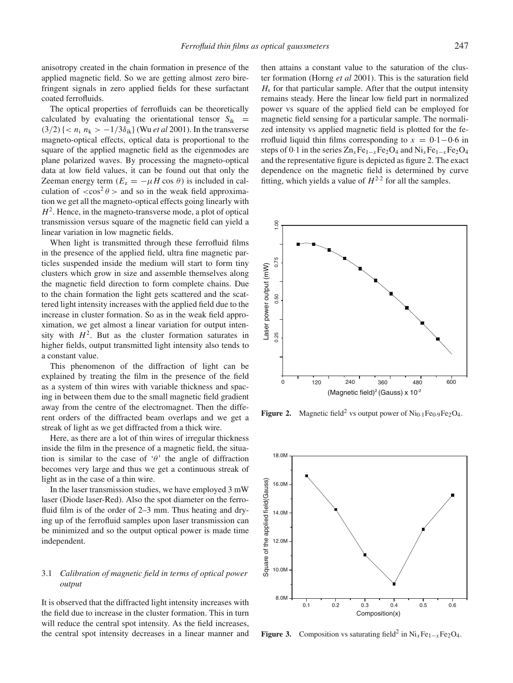anisotropy created in the chain formation in presence of the applied magnetic field. So we are getting almost zero birefringent signals in zero applied fields for these surfactant coated ferrofluids.

The optical properties of ferrofluids can be theoretically calculated by evaluating the orientational tensor  $S_{ik}$  =  $(3/2)$  { <  $n_i$   $n_k$  >  $-1/3\delta_{ik}$ } (Wu *et al* 2001). In the transverse magneto-optical effects, optical data is proportional to the square of the applied magnetic field as the eigenmodes are plane polarized waves. By processing the magneto-optical data at low field values, it can be found out that only the Zeeman energy term ( $E_z = -\mu H \cos \theta$ ) is included in calculation of  $\langle \cos^2 \theta \rangle$  and so in the weak field approximation we get all the magneto-optical effects going linearly with  $H<sup>2</sup>$ . Hence, in the magneto-transverse mode, a plot of optical transmission versus square of the magnetic field can yield a linear variation in low magnetic fields.

When light is transmitted through these ferrofluid films in the presence of the applied field, ultra fine magnetic particles suspended inside the medium will start to form tiny clusters which grow in size and assemble themselves along the magnetic field direction to form complete chains. Due to the chain formation the light gets scattered and the scattered light intensity increases with the applied field due to the increase in cluster formation. So as in the weak field approximation, we get almost a linear variation for output intensity with  $H^2$ . But as the cluster formation saturates in higher fields, output transmitted light intensity also tends to a constant value.

This phenomenon of the diffraction of light can be explained by treating the film in the presence of the field as a system of thin wires with variable thickness and spacing in between them due to the small magnetic field gradient away from the centre of the electromagnet. Then the different orders of the diffracted beam overlaps and we get a streak of light as we get diffracted from a thick wire.

Here, as there are a lot of thin wires of irregular thickness inside the film in the presence of a magnetic field, the situation is similar to the case of ' $\theta$ ' the angle of diffraction becomes very large and thus we get a continuous streak of light as in the case of a thin wire.

In the laser transmission studies, we have employed 3 mW laser (Diode laser-Red). Also the spot diameter on the ferrofluid film is of the order of 2–3 mm. Thus heating and drying up of the ferrofluid samples upon laser transmission can be minimized and so the output optical power is made time independent.

# 3.1 *Calibration of magnetic field in terms of optical power output*

It is observed that the diffracted light intensity increases with the field due to increase in the cluster formation. This in turn will reduce the central spot intensity. As the field increases, the central spot intensity decreases in a linear manner and

then attains a constant value to the saturation of the cluster formation (Horng *et al* 2001). This is the saturation field  $H<sub>s</sub>$  for that particular sample. After that the output intensity remains steady. Here the linear low field part in normalized power vs square of the applied field can be employed for magnetic field sensing for a particular sample. The normalized intensity vs applied magnetic field is plotted for the ferrofluid liquid thin films corresponding to  $x = 0.1 - 0.6$  in steps of 0·1 in the series  $Zn_xFe_{1-x}Fe_2O_4$  and  $Ni_xFe_{1-x}Fe_2O_4$ and the representative figure is depicted as figure 2. The exact dependence on the magnetic field is determined by curve fitting, which yields a value of  $H^{2.2}$  for all the samples.



**Figure 2.** Magnetic field<sup>2</sup> vs output power of  $\text{Ni}_{0.1}\text{Fe}_{0.9}\text{Fe}_{2}\text{O}_{4}$ .



**Figure 3.** Composition vs saturating field<sup>2</sup> in Ni<sub>x</sub>Fe<sub>1−*x*</sub>Fe<sub>2</sub>O<sub>4</sub>.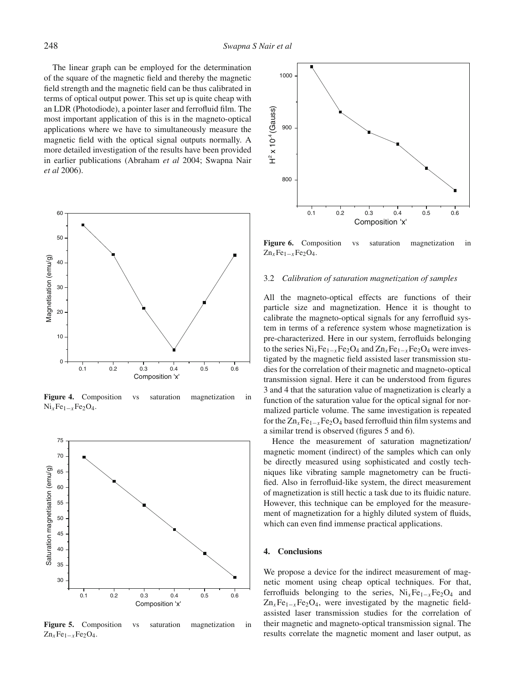The linear graph can be employed for the determination of the square of the magnetic field and thereby the magnetic field strength and the magnetic field can be thus calibrated in terms of optical output power. This set up is quite cheap with an LDR (Photodiode), a pointer laser and ferrofluid film. The most important application of this is in the magneto-optical applications where we have to simultaneously measure the magnetic field with the optical signal outputs normally. A more detailed investigation of the results have been provided in earlier publications (Abraham *et al* 2004; Swapna Nair *et al* 2006).



**Figure 4.** Composition vs saturation magnetization in  $Ni<sub>x</sub>Fe<sub>1-x</sub>Fe<sub>2</sub>O<sub>4</sub>.$ 



**Figure 5.** Composition vs saturation magnetization in  $Zn_xFe_{1-x}Fe_2O_4$ .



Figure 6. Composition vs saturation magnetization in  $Zn_xFe_{1-x}Fe_2O_4$ .

#### 3.2 *Calibration of saturation magnetization of samples*

All the magneto-optical effects are functions of their particle size and magnetization. Hence it is thought to calibrate the magneto-optical signals for any ferrofluid system in terms of a reference system whose magnetization is pre-characterized. Here in our system, ferrofluids belonging to the series  $Ni<sub>x</sub>Fe<sub>1-x</sub>Fe<sub>2</sub>O<sub>4</sub>$  and  $Zn<sub>x</sub>Fe<sub>1-x</sub>Fe<sub>2</sub>O<sub>4</sub>$  were investigated by the magnetic field assisted laser transmission studies for the correlation of their magnetic and magneto-optical transmission signal. Here it can be understood from figures 3 and 4 that the saturation value of magnetization is clearly a function of the saturation value for the optical signal for normalized particle volume. The same investigation is repeated for the  $Zn_xFe_{1-x}Fe_2O_4$  based ferrofluid thin film systems and a similar trend is observed (figures 5 and 6).

Hence the measurement of saturation magnetization/ magnetic moment (indirect) of the samples which can only be directly measured using sophisticated and costly techniques like vibrating sample magnetometry can be fructified. Also in ferrofluid-like system, the direct measurement of magnetization is still hectic a task due to its fluidic nature. However, this technique can be employed for the measurement of magnetization for a highly diluted system of fluids, which can even find immense practical applications.

# **4. Conclusions**

We propose a device for the indirect measurement of magnetic moment using cheap optical techniques. For that, ferrofluids belonging to the series, Ni*x*Fe1<sup>−</sup>*x*Fe2O4 and  $Zn_xFe_{1-x}Fe_2O_4$ , were investigated by the magnetic fieldassisted laser transmission studies for the correlation of their magnetic and magneto-optical transmission signal. The results correlate the magnetic moment and laser output, as